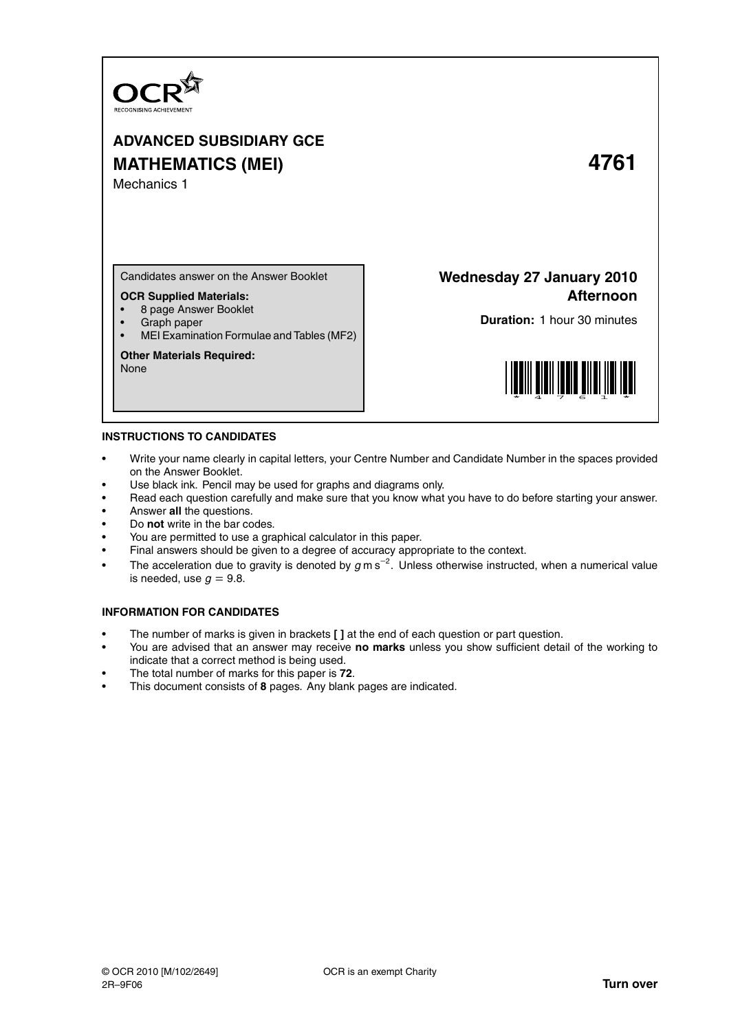

# **ADVANCED SUBSIDIARY GCE MATHEMATICS (MEI) 4761** Mechanics 1

Candidates answer on the Answer Booklet

### **OCR Supplied Materials:**

- 8 page Answer Booklet
- Graph paper
- MEI Examination Formulae and Tables (MF2)

#### **Other Materials Required:**

None

**Wednesday 27 January 2010 Afternoon**

**Duration:** 1 hour 30 minutes



#### **INSTRUCTIONS TO CANDIDATES**

- Write your name clearly in capital letters, your Centre Number and Candidate Number in the spaces provided on the Answer Booklet.
- Use black ink. Pencil may be used for graphs and diagrams only.
- Read each question carefully and make sure that you know what you have to do before starting your answer.
- Answer **all** the questions.
- Do **not** write in the bar codes.
- You are permitted to use a graphical calculator in this paper.
- Final answers should be given to a degree of accuracy appropriate to the context.
- The acceleration due to gravity is denoted by  $g$  m s<sup>-2</sup>. Unless otherwise instructed, when a numerical value is needed, use  $q = 9.8$ .

#### **INFORMATION FOR CANDIDATES**

- The number of marks is given in brackets **[ ]** at the end of each question or part question.
- You are advised that an answer may receive **no marks** unless you show sufficient detail of the working to indicate that a correct method is being used.
- The total number of marks for this paper is **72**.
- This document consists of **8** pages. Any blank pages are indicated.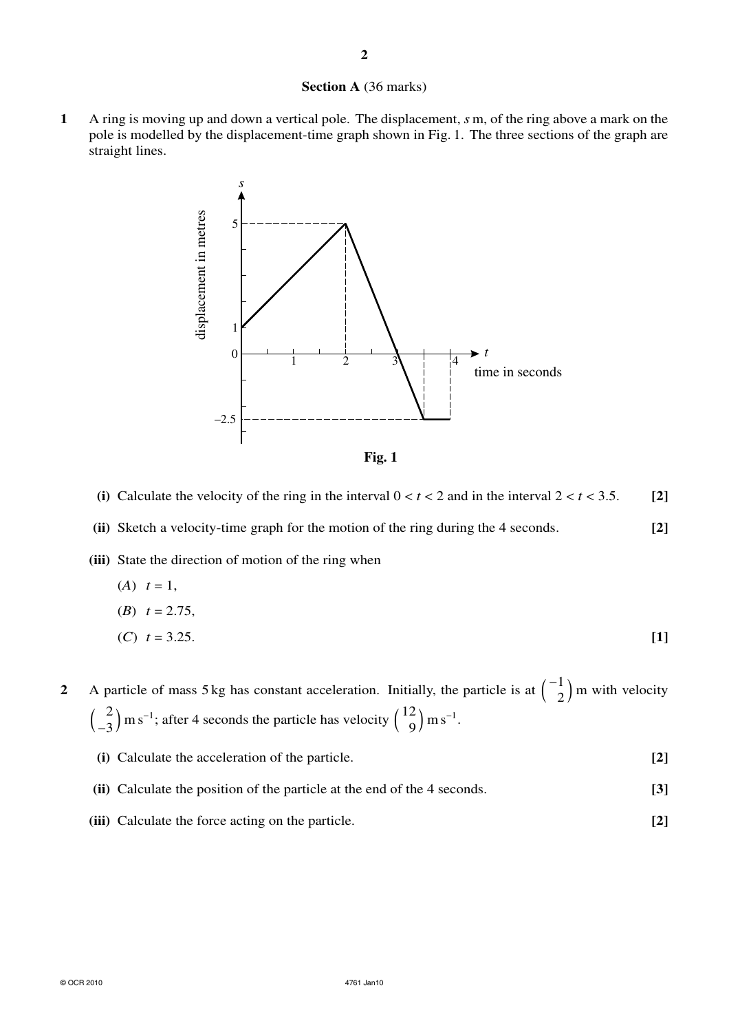### **Section A** (36 marks)

**1** A ring is moving up and down a vertical pole. The displacement, *s* m, of the ring above a mark on the pole is modelled by the displacement-time graph shown in Fig. 1. The three sections of the graph are straight lines.



- (i) Calculate the velocity of the ring in the interval  $0 < t < 2$  and in the interval  $2 < t < 3.5$ . [2]
- **(ii)** Sketch a velocity-time graph for the motion of the ring during the 4 seconds. **[2]**
- **(iii)** State the direction of motion of the ring when

(A) 
$$
t = 1
$$
,  
\n(B)  $t = 2.75$ ,  
\n(C)  $t = 3.25$ .  
\n[1]

**2** A particle of mass 5 kg has constant acceleration. Initially, the particle is at  $\begin{pmatrix} -1 \\ 2 \end{pmatrix}$  $\binom{1}{2}$  m with velocity  $\begin{pmatrix} 2 \\ -3 \end{pmatrix}$  $\begin{pmatrix} 2 \\ -3 \end{pmatrix}$  m s<sup>-1</sup>; after 4 seconds the particle has velocity  $\begin{pmatrix} 12 \\ 9 \end{pmatrix}$  $\binom{2}{9}$  m s<sup>-1</sup>.

- **(i)** Calculate the acceleration of the particle. **[2]**
- **(ii)** Calculate the position of the particle at the end of the 4 seconds. **[3]**
- **(iii)** Calculate the force acting on the particle. **[2]**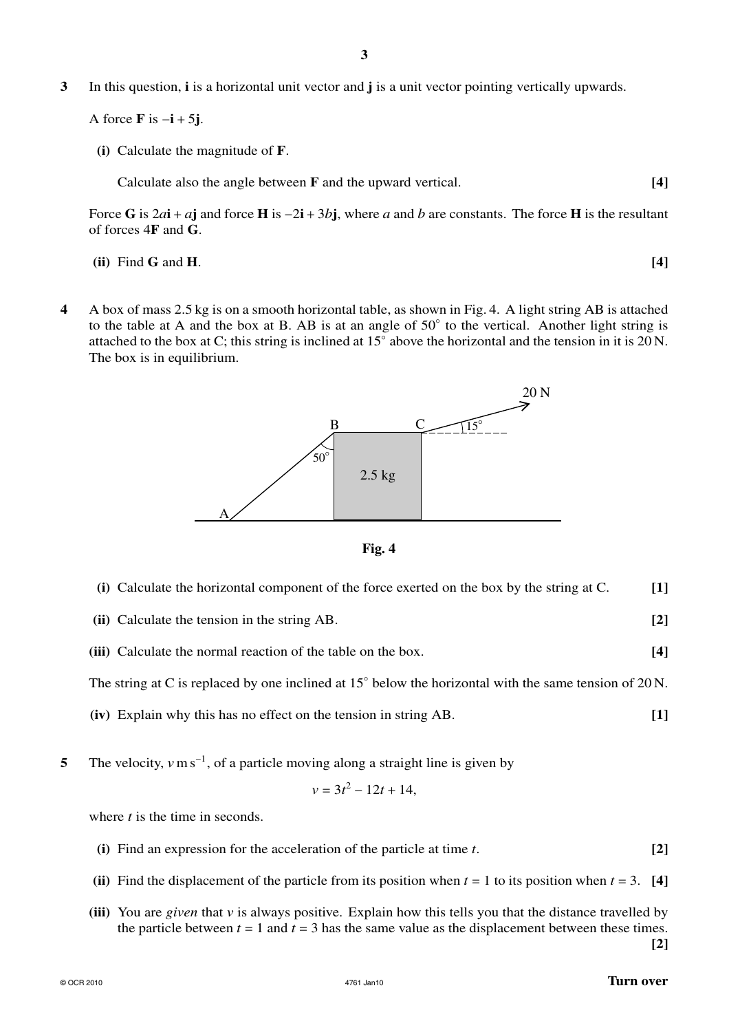**3** In this question, **i** is a horizontal unit vector and **j** is a unit vector pointing vertically upwards.

A force **F** is −**i** + 5**j**.

**(i)** Calculate the magnitude of **F**.

Calculate also the angle between **F** and the upward vertical. **[4]**

Force **G** is  $2a\mathbf{i} + a\mathbf{j}$  and force **H** is  $-2\mathbf{i} + 3b\mathbf{j}$ , where *a* and *b* are constants. The force **H** is the resultant of forces 4**F** and **G**.

- **(ii)** Find **G** and **H**. **[4]**
- **4** A box of mass 2.5 kg is on a smooth horizontal table, as shown in Fig. 4. A light string AB is attached to the table at A and the box at B. AB is at an angle of 50° to the vertical. Another light string is attached to the box at C; this string is inclined at  $15^{\circ}$  above the horizontal and the tension in it is 20 N. The box is in equilibrium.



**Fig. 4**

- **(i)** Calculate the horizontal component of the force exerted on the box by the string at C. **[1]**
- **(ii)** Calculate the tension in the string AB. **[2]**

**(iii)** Calculate the normal reaction of the table on the box. **[4]**

The string at C is replaced by one inclined at  $15^{\circ}$  below the horizontal with the same tension of 20 N.

**(iv)** Explain why this has no effect on the tension in string AB. **[1]**

**5** The velocity,  $v \text{ m s}^{-1}$ , of a particle moving along a straight line is given by

$$
v = 3t^2 - 12t + 14,
$$

where *t* is the time in seconds.

- **(i)** Find an expression for the acceleration of the particle at time *t*. **[2]**
- **(ii)** Find the displacement of the particle from its position when  $t = 1$  to its position when  $t = 3$ . [4]
- **(iii)** You are *given* that *v* is always positive. Explain how this tells you that the distance travelled by the particle between  $t = 1$  and  $t = 3$  has the same value as the displacement between these times.

**[2]**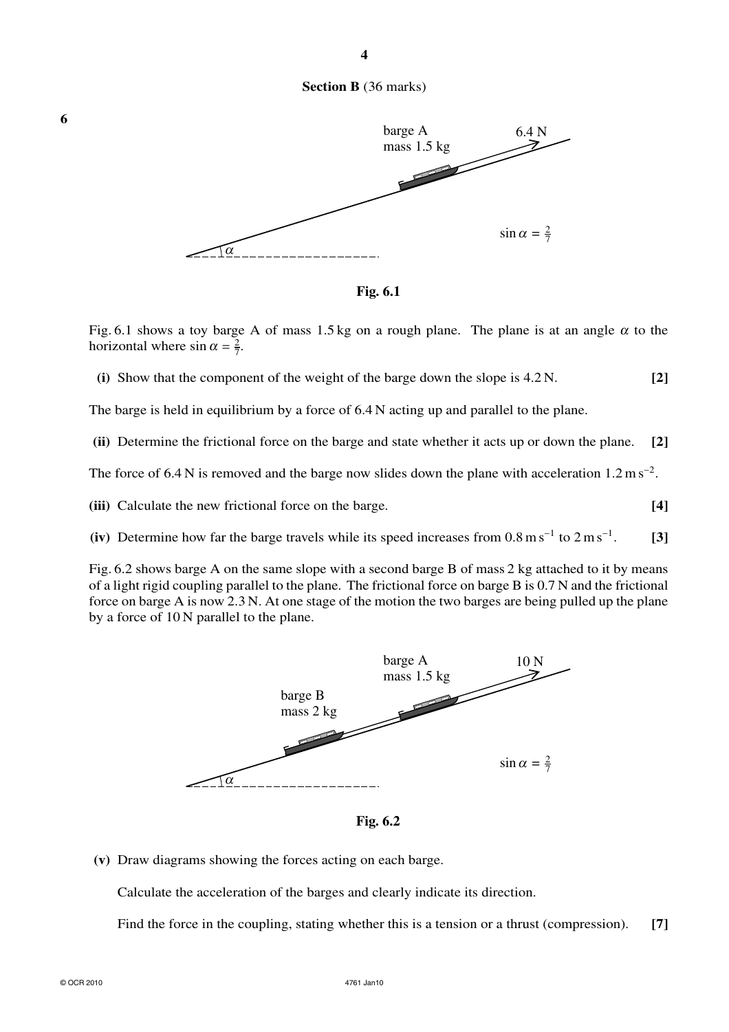**4**



**Fig. 6.1**

Fig. 6.1 shows a toy barge A of mass 1.5 kg on a rough plane. The plane is at an angle  $\alpha$  to the horizontal where  $\sin \alpha = \frac{2}{7}$ .

**(i)** Show that the component of the weight of the barge down the slope is 4.2 N. **[2]**

The barge is held in equilibrium by a force of 6.4 N acting up and parallel to the plane.

**(ii)** Determine the frictional force on the barge and state whether it acts up or down the plane. **[2]**

The force of 6.4 N is removed and the barge now slides down the plane with acceleration  $1.2 \text{ m s}^{-2}$ .

**(iii)** Calculate the new frictional force on the barge. **[4]**

(iv) Determine how far the barge travels while its speed increases from  $0.8 \text{ m s}^{-1}$  to  $2 \text{ m s}^{-1}$ . **[3]**

Fig. 6.2 shows barge A on the same slope with a second barge B of mass 2 kg attached to it by means of a light rigid coupling parallel to the plane. The frictional force on barge B is 0.7 N and the frictional force on barge A is now 2.3 N. At one stage of the motion the two barges are being pulled up the plane by a force of 10 N parallel to the plane.





**(v)** Draw diagrams showing the forces acting on each barge.

Calculate the acceleration of the barges and clearly indicate its direction.

Find the force in the coupling, stating whether this is a tension or a thrust (compression). **[7]**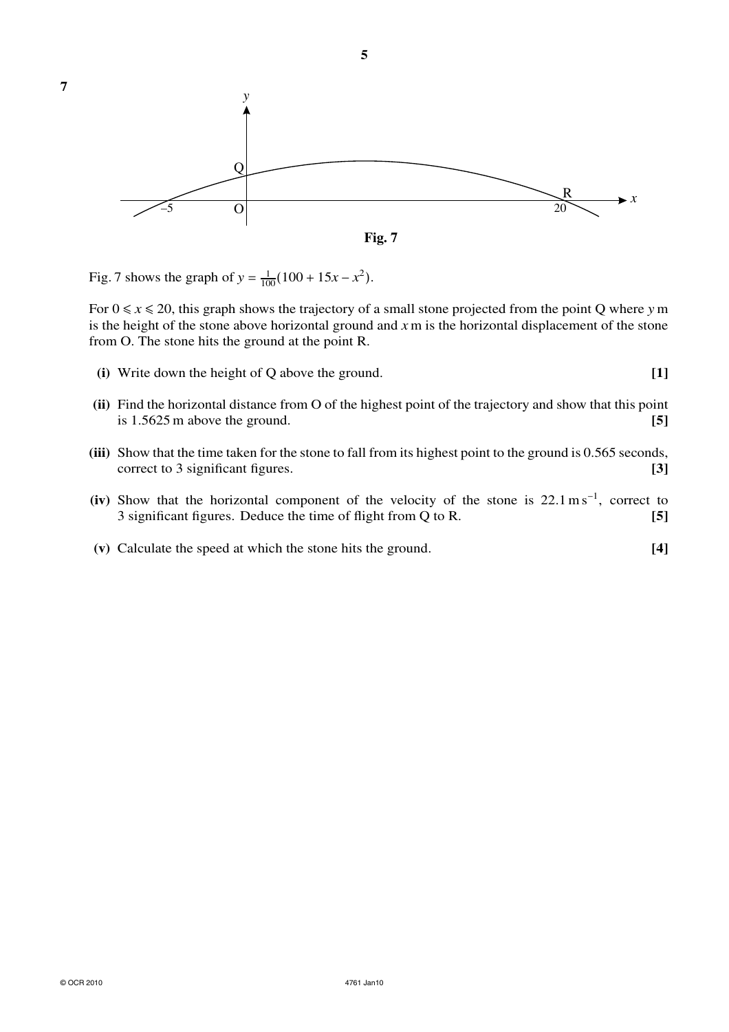



Fig. 7 shows the graph of  $y = \frac{1}{100}(100 + 15x - x^2)$ .

For  $0 \le x \le 20$ , this graph shows the trajectory of a small stone projected from the point Q where *y* m is the height of the stone above horizontal ground and *x* m is the horizontal displacement of the stone from O. The stone hits the ground at the point R.

- **(i)** Write down the height of Q above the ground. **[1]**
- **(ii)** Find the horizontal distance from O of the highest point of the trajectory and show that this point is 1.5625 m above the ground. **[5]**
- **(iii)** Show that the time taken for the stone to fall from its highest point to the ground is 0.565 seconds, correct to 3 significant figures. **[3]**
- (iv) Show that the horizontal component of the velocity of the stone is  $22.1 \text{ m s}^{-1}$ , correct to 3 significant figures. Deduce the time of flight from Q to R. **[5]**
- **(v)** Calculate the speed at which the stone hits the ground. **[4]**

**7**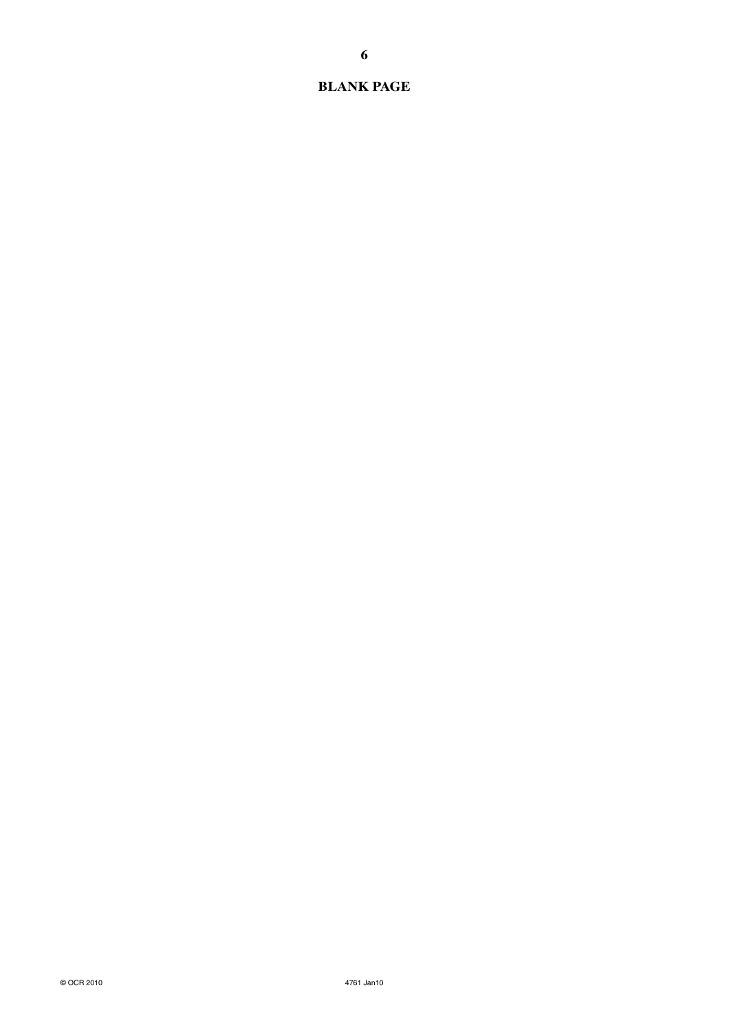# **BLANK PAGE**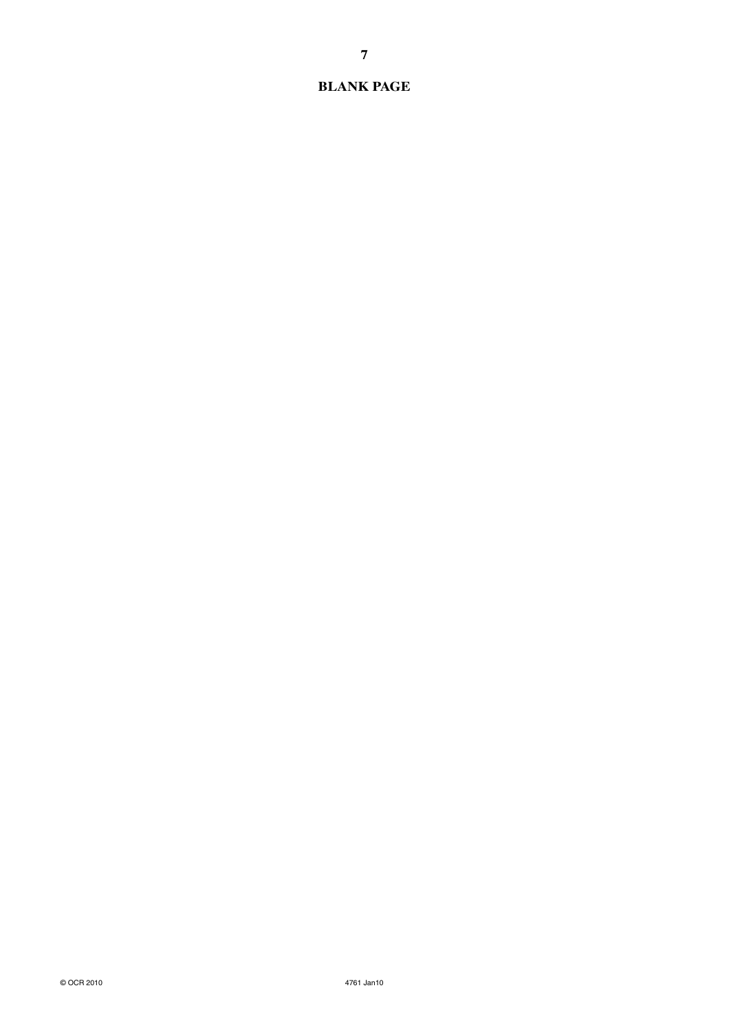# **BLANK PAGE**